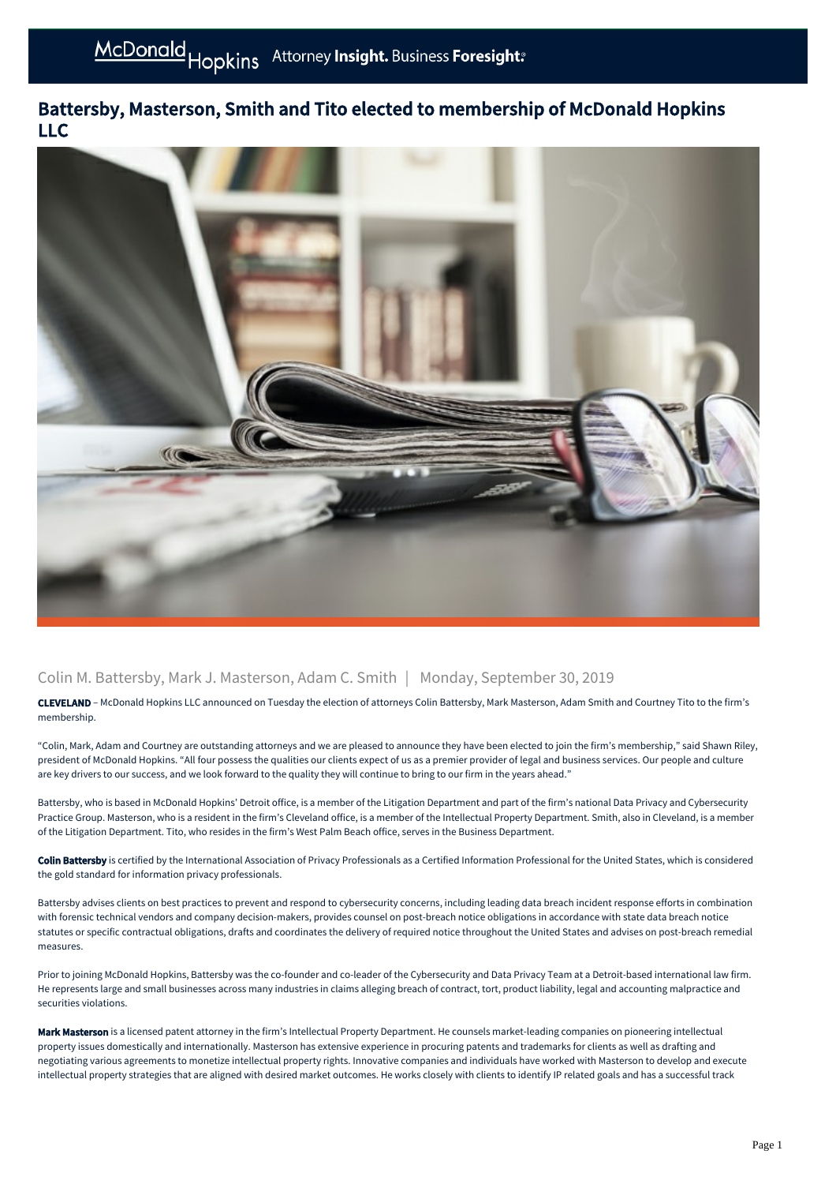## Battersby, Masterson, Smith and Tito elected to membership of McDonald Hopkins LLC



## Colin M. Battersby, Mark J. Masterson, Adam C. Smith | Monday, September 30, 2019

CLEVELAND – McDonald Hopkins LLC announced on Tuesday the election of attorneys Colin Battersby, Mark Masterson, Adam Smith and Courtney Tito to the firm's membership.

"Colin, Mark, Adam and Courtney are outstanding attorneys and we are pleased to announce they have been elected to join the firm's membership," said Shawn Riley, president of McDonald Hopkins. "All four possess the qualities our clients expect of us as a premier provider of legal and business services. Our people and culture are key drivers to our success, and we look forward to the quality they will continue to bring to our firm in the years ahead."

Battersby, who is based in McDonald Hopkins' Detroit office, is a member of the Litigation Department and part of the firm's national Data Privacy and Cybersecurity Practice Group. Masterson, who is a resident in the firm's Cleveland office, is a member of the Intellectual Property Department. Smith, also in Cleveland, is a member of the Litigation Department. Tito, who resides in the firm's West Palm Beach office, serves in the Business Department.

Colin Battersby is certified by the International Association of Privacy Professionals as a Certified Information Professional for the United States, which is considered the gold standard for information privacy professionals.

Battersby advises clients on best practices to prevent and respond to cybersecurity concerns, including leading data breach incident response efforts in combination with forensic technical vendors and company decision-makers, provides counsel on post-breach notice obligations in accordance with state data breach notice statutes or specific contractual obligations, drafts and coordinates the delivery of required notice throughout the United States and advises on post-breach remedial measures.

Prior to joining McDonald Hopkins, Battersby was the co-founder and co-leader of the Cybersecurity and Data Privacy Team at a Detroit-based international law firm. He represents large and small businesses across many industries in claims alleging breach of contract, tort, product liability, legal and accounting malpractice and securities violations.

Mark Masterson is a licensed patent attorney in the firm's Intellectual Property Department. He counsels market-leading companies on pioneering intellectual property issues domestically and internationally. Masterson has extensive experience in procuring patents and trademarks for clients as well as drafting and negotiating various agreements to monetize intellectual property rights. Innovative companies and individuals have worked with Masterson to develop and execute intellectual property strategies that are aligned with desired market outcomes. He works closely with clients to identify IP related goals and has a successful track